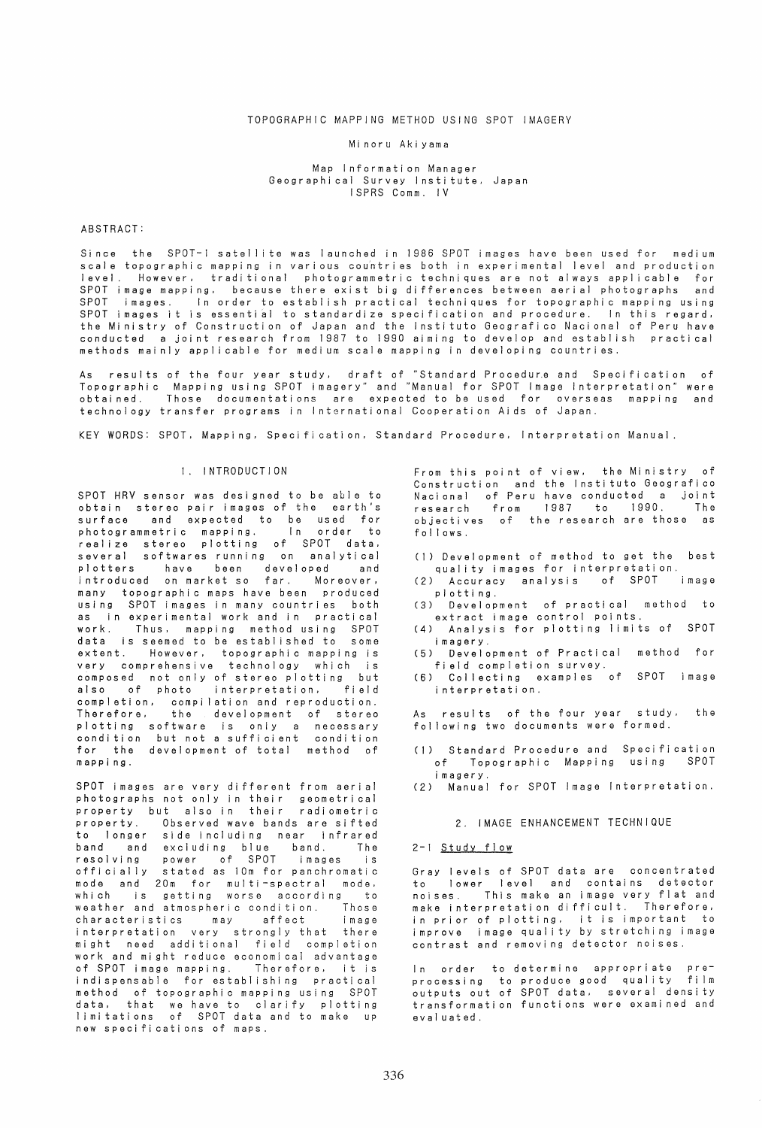### TOPOGRAPHIC MAPPING METHOD USING SPOT IMAGERY

#### Mi noru Aki yama

Map Information Manager Geographi cal Survey I nsti tute. Japan ISPRS Comm. IV

### ABSTRACT:

Since the SPOT-l satellite was launched in 1986 SPOT images have been used for medium scale topographic mapping in various countries both in experimental level and production level. However, traditional photogrammetric techniques are not always applicable for SPOT image mapping. because there exist big differences between aerial photographs and In order to establish practical techniques for topographic mapping using SPOT images it is essential to standardize specification and procedure. In this regard. the Ministry of Construction of Japan and the Instituto Geografico Nacional of Peru have conducted a joint research from 1987 to 1990 aiming to develop and establish practical methods mainly applicable for medium scale mapping in developing countries.

As results of the four year study. draft of "Standard Procedur.e and Specification of Topographic Mapping using SPOT imagery" and "Manual for SPOT Image Interpretation" were obtained. Those documentations are expected to be used for overseas mapping and technology transfer programs in IntGrnational Cooperation Aids of Japan.

KEY WORDS: SPOT. Mapping. Specification. Standard Procedure. Interpretation Manual.

#### 1. I NTRODUCT ION

SPOT HRV sensor was designed to be able to obtain stereo pair images of the earth's surface and expected to be used for photogrammetric mapping. In order to<br>realize stereo plotting of SPOT data. several softwares running on analytical plotters have been developed and introduced on market so far. Moreover. many topographic maps have been produced using SPOT images in many countries both as in experimental work and in practical<br>work. Thus, mapping method using SPOT Thus. mapping method using SPOT data is seemed to be established to some extent. However, topographic mapping is very comprehensive technology which is composed not only of stereo plotting but also of photo interpretation. field completion. compilation and reproduction. the development of stereo plotting software is only a necessary condition but not a sufficient condition for the development of total method of mapping.

SPOT images are very different from aerial photographs not only in their geometrical property but also in their radiometric property. Observed wave bands are sifted to longer side including near infrared band and excluding blue band. The resolving power of SPOT images is officially stated as 10m for panchromatic mode and 20m for multi-spectral mode. which is getting worse according to which is govering worder according to characteristics may affect image interpretation very strongly that there<br>might need additional field completion work and mi ght reduce economi cal advantage of SPOT image mapping. Therefore, it is indispensable for establishing practical method of topographic mapping using SPOT data. that we have to clarify plotting uata; that we have to claimly protting<br>limitations of SPOT data and to make up new speci fi cati ons of maps.

From this point of view. the Ministry of Construction and the Instituto Geografico Nacional of Peru have conducted a joint research from 1987 to 1990. The objectives of the research are those as follows.

- (1) Development of method to get the best quality images for interpretation.<br>Contracy analysis of SPOT image.
- (2) Accuracy analysis of SPOT plotting.
- (3) Development of practical method to extract image control points.
- (4) Analysis for plotting limits of SPOT imagery.
- (5) Development of Practical method for field completion survey.
- (6) Collecting examples of SPOT image i nterpretati on.
- As results of the four year study. the following two documents were formed.
- (1) Standard Procedure and Speci fi cation of Topographic Mapping using SPOT imagery.
- (2) Manual for SPOT Image Interpretation.

#### 2. I MAGE ENHANCEMENT TECHN I QUE

### 2-1 Study flow

Gray levels of SPOT data are concentrated to lower level and contains detector<br>noises. This make an image very flat and make interpretation difficult. Therefore, in prior of plotting. it is important to improve image quality by stretching image contrast and removing detector noises.

In order to-determine appropriate pre-<br>processing to-produce-good quality film outputs out of SPOT data. several densi ty transformati on functi ons were exami ned and evaluated.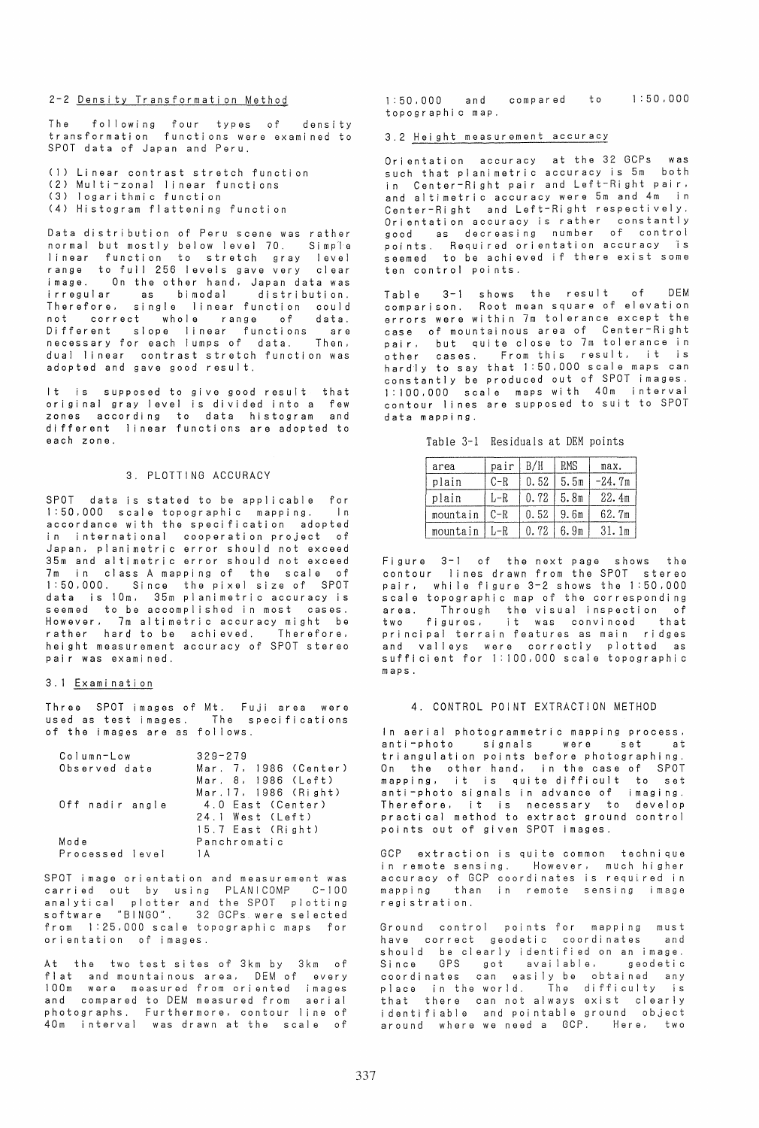# 2-2 Densi ty Transformati on Method

The following four types of density transformati on functi ons were exami ned to SPOT data of Japan and Peru.

(1) Linear contrast stretch function (2) Mul ti -zonal I i near functi ons (3) logarithmic function (4) Histogram flattening function

Data distribution of Peru scene was rather normal but mostly below level 70. Simp<sup>'</sup>ie I inear function to stretch gray level range to full 256 levels gave very clear i mage. On the other hand. Japan data was irregular as bimodal distribution. Therefore. single linear function could not correct whole range of data. Different slope linear functions are necessary for each lumps of data. Then. dual linear contrast stretch function was adopted and gave good result.

It is supposed to give good result that original gray level is divided into a few zones according to data histogram and different linear functions are adopted to each zone.

### 3. PLOTTING ACCURACY

SPOT data is stated to be applicable for<br>1:50.000 scale topographic mapping. In 1:50.000 scale topographic mapping. accordance wi th the speci fi cati on adopted in international cooperation project of Japan. planimetric error should not exceed 35m and altimetric error should not exceed 7m in class A mapping of the scale of 1:50.000. Since the pixel size of SPOT data is 10m. 35m planimetric accuracy is seemed to be accomplished in most cases. However. 7m altimetric accuracy might be rather hard to be achieved. Therefore, rather hard to be achieved. Therefore,<br>height measurement accuracy of SPOT stereo pair was examined.

#### 3.1 Examination

Three SPOT images of Mt. Fuji area were used as test images. The speci fi cati ons of the images are as fol lows.

| Column-Low      | $329 - 279$           |
|-----------------|-----------------------|
| Observed date   | Mar. 7, 1986 (Center) |
|                 | Mar. 8, 1986 (Left)   |
|                 | Mar. 17, 1986 (Right) |
| Off nadir angle | 4.0 East (Center)     |
|                 | 24.1 West (Left)      |
|                 | 15.7 East (Right)     |
| Mode            | Panchromatic          |
| Processed level | 1 A                   |

SPOT image ori entation and measurement was carried out by using PLANICOMP C-I00 analytical plotter and the SPOT plotting software "BINGO". 32 GCPs were selected from 1:25.000 scale topographic maps for orientation of images.

At the two test si tes of 3km by 3km of flat and mountainous area. DEM of every 100m were measured from oriented images and compared to DEM measured from aerial photographs. Furthermore. contour line of 40m interval was drawn at the scale of 1 :50.000 and compared to 1 :50.000 topographic map.

# 3.2 Hei ght measurement accuracy

Orientation accuracy at the 32 GCPs was such that planimetric accuracy is 5m both in Center-Right pair and Left-Right pair,<br>and altimetric accuracy were 5m and 4m in and altimetric accuracy were 5m and 4m Center-Ri ght and Left-Ri ght respecti vel y. Orientation accuracy is rather constantly good as decreasing number of control poi nts. Requi red ori entati on accuracy is seemed to be achieved if there exist some ten control poi nts.

Table 3-1 shows the result of DEM comparison. Root mean square of elevation errors were within 7m tolerance except the case of mountai nous area of Center-Ri ght pair, but quite close to 7m tolerance in pair, but quite close to *r*m tolerance in<br>other cases. From this result, it is<br>hardly to say that 1:50,000 scale maps can constantly be produced out of SPOT images. 1:100.000 scale maps with 40m interval contour lines are supposed to suit to SPOT data mappi ng.

Table 3-1 Residuals at OEM points

| area     | pair    | B/H  | RMS  | max.              |
|----------|---------|------|------|-------------------|
| plain    | $C-R$   | 0.52 | 5.5m | -24.7m            |
| plain    | L-R     | 0.72 | 5.8m | 22.4m             |
| mountain | $C - R$ | 0.52 | 9.6m | 62.7m             |
| mountain | L-R     | 0.72 | 6.9m | 31.1 <sub>m</sub> |

Fi gure 3-1 of the next page shows the contour lines drawn from the SPOT stereo pair. while figure 3-2 shows the 1:50.000 scale topographic map of the corresponding area. Through the visual inspection of<br>two figures, it was convinced that principal terrain features as main ridges and valleys were correctly plotted as sufficient for 1:100,000 scale topographic maps.

#### 4. CONTROL POINT EXTRACTION METHOD

In aerial photogrammetric mapping process. anti-photo signals were set at triangulation points before photographing. On the other hand. in the case of SPOT mapping. it is quite difficult to set anti-photo signals in advance of imaging. anti-pnoto signais in advance or imaging.<br>Therefore, it is necessary to develop practi cal method to extract ground control poi nts out of gi ven SPOT images.

GCP extraction is quite common technique in remote sensing. However, much higher accuracy of GCP coordinates is required in mapping than in remote sensing image regi strati on.

Ground control points for mapping must have correct geodetic coordinates and should be clearly identified on an image. Since GPS got available. geodetic coordinates can easily be obtained any place in the world. The difficulty is that there can not always exist clearly i dentifiable and pointable ground object around where we need a GCP. Here. two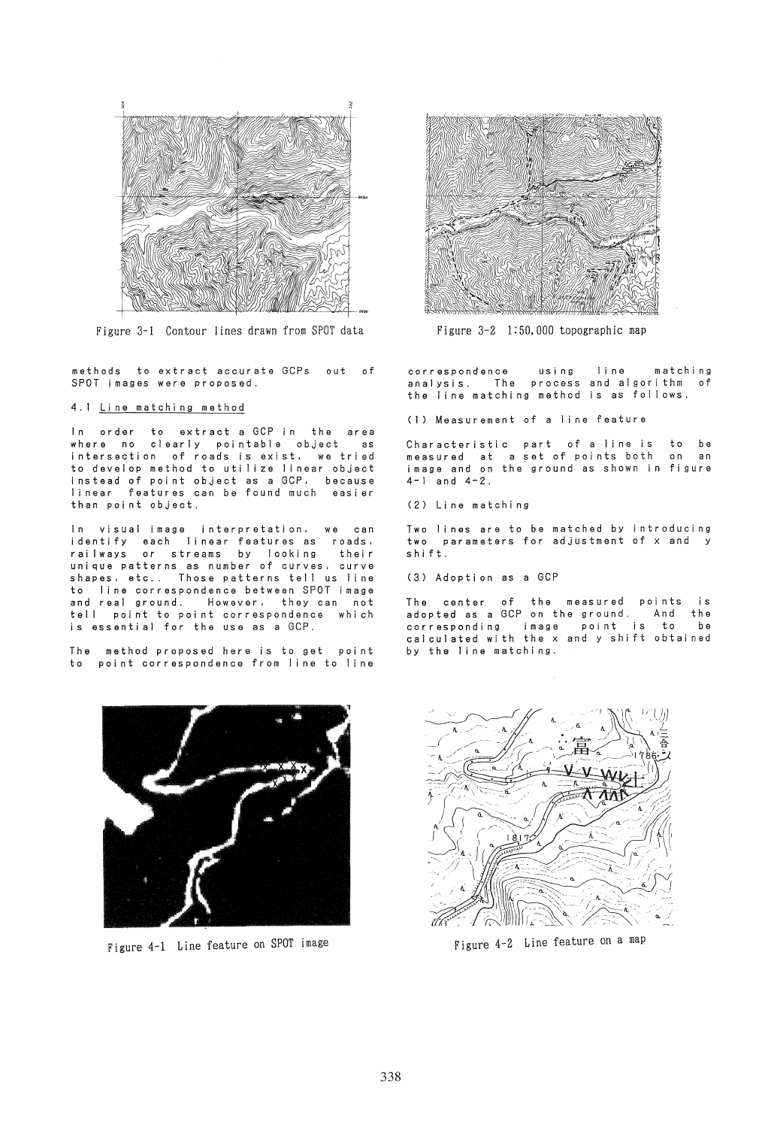

Figure 3-1 Contour lines drawn from SPOT data

methods to extract accurate GCPs out of SPOT images were proposed.

4.1 Li ne matchi ng method

In order to extract a GCP in the area clearly pointable object as intersection of roads is exist. we tried to develop method to utilize linear object instead of point object as a GCP. because <sup>1</sup>i near features can be found much easi er than poi nt object.

In visual image interpretation. we can identify each linear features as roads. rai Iways or streams by looking their unique patterns as number of curves, curve<br>shapes, etc.. Those patterns tell us line to line correspondence between SPOT image and real ground. However. they can not tell point to point correspondence which is essential for the use as a GCP.

The method proposed here is to get point to point correspondence from line to line



Figure 4-1 Line feature on SPOT image



Figure 3-2 1:50,000 topographic map

correspondence using line matching analysis. The process and algorithm of the line matchi ng method is as follows.

(1) Measurement of a line feature

Characteristic part of a line is to be measured at a set of poi nts both on an i mage and on the ground as shown in fi gure 4-1 and 4-2.

(2) Li ne matchi ng

Two lines are to be matched by introducing two parameters for adjustment of x and y <sup>s</sup>hi ft.

(3) Adoption as a GCP

The center of the measured points is adopted as a GCP on the ground. And the corresponding image point is to be cal cui ated wi th the x and y shi ft obtai ned by the line matching.



Figure 4-2 Line feature on a map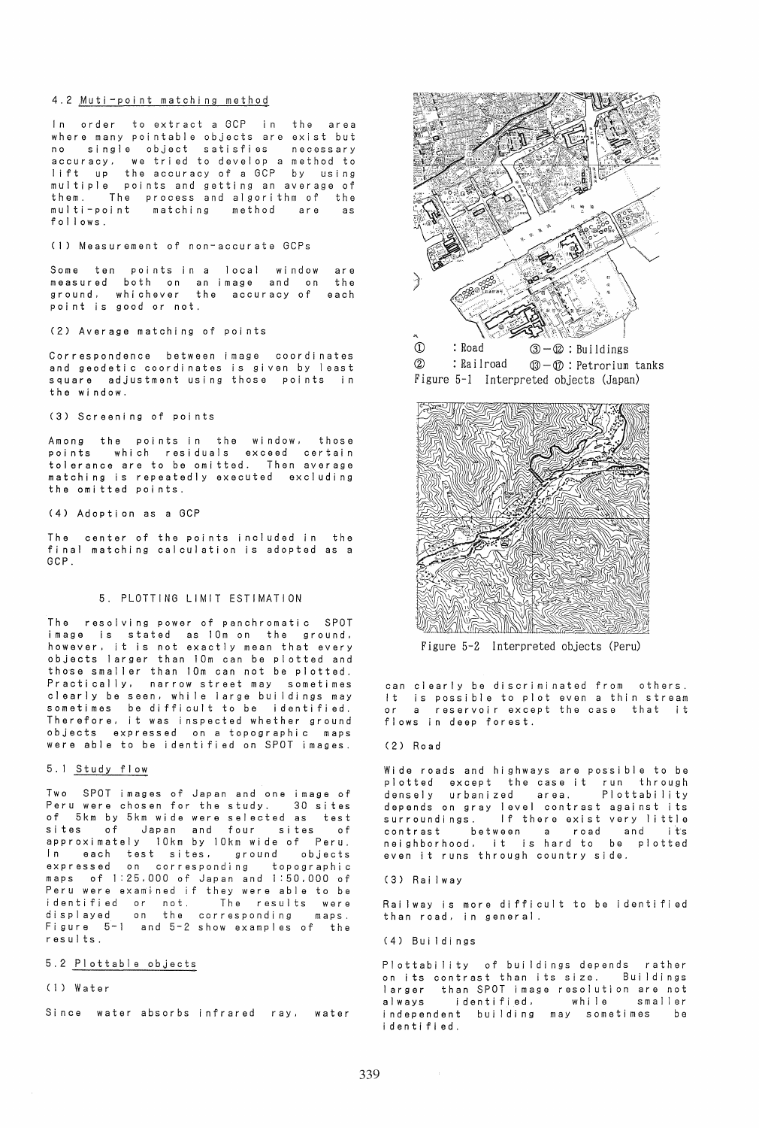# 4.2 Muti-point matching method

order to extract a GCP in the area where many pointable objects are exist but<br>no single object satisfies necessary no single object satisfies accuracy. we tried to develop a method to<br>lift up the accuracy of a GCP by using the accuracy of a GCP by using multiple points and getting an average of<br>multiple points and getting an average of<br>them. The process and algorithm of the them. The process and algori thm of the multi-point matching method are as follows.

### (1) Measurement of non-accurate GCPs

.<br>Some ten points in a local window measured ground. point is good or not. both on an image and on whi chever the accuracy of are the each

(2) Average matching of points

Correspondence between image coordi nates and geodetic coordinates is given by least square adjustment using those points in the window.

### (3) Screeni ng of poi nts

Among the points in the window, those points which residuals exceed certain tol erance are to be omi tted. Then average matching is repeatedly executed excluding the omi tted poi nts.

#### (4) Adoption as a GCP

The center of the points included in the final matching calculation is adopted as a GCP.

### 5. PLOTTING LIMIT ESTIMATION

The resolving power of panchromatic SPOT image is stated as 10m on the ground. however, it is not exactly mean that every objects larger than 10m can be plotted and those smaller than 10m can not be plotted. Practically, narrow street may sometimes clearly be seen, while large buildings may sometimes be difficult to be identified. Therefore. it was inspected whether ground objects expressed on a topographic maps were able to be identified on SPOT images.

#### 5.1 Study flow

Two SPOT images of Japan and one image of Peru were chosen for the study. of 5km by 5km wide were selected as test Japan and four sites approximately 10km by 10km wide of Peru. each test sites.<br>Annual on correspond expressed on corresponding topographic maps of 1:25.000 of Japan and 1:50.000 of Peru were examined if they were able to be identified or not. The results were displayed on the corresponding maps. displayed on the corresponding maps.<br>Figure 5-1 and 5-2 show examples of the results.

# 5.2 Plottable objects

#### (1) Water

Si nce water absorbs infrared ray. water





Figure 5-2 Interpreted objects (Peru)

can clearly be discriminated from others. It is possible to plot even a thin stream or a reservoir except the case that it flows in deep forest.

#### (2) Road

Wide roads and highways are possible to be plotted except the case it run through<br>densely urbanized area. Plottability densely urbanized area. Plottability<br>depends on gray level contrast against its<br>surroundings. If there exist very little surroundings. If there exist very little<br>contrast between a road and its<br>neighborhood, it is hard to be plotted it is hard to be plotted even it runs through country side.

### (3) Rai Iway

Rai Iway is more difficult to be identified than road. in general.

### (4) Buildings

Plottability of buildings depends rather on its contrast than its size. Buildings larger than SPOT image resolution are not always identified. independent building may sometimes be identified.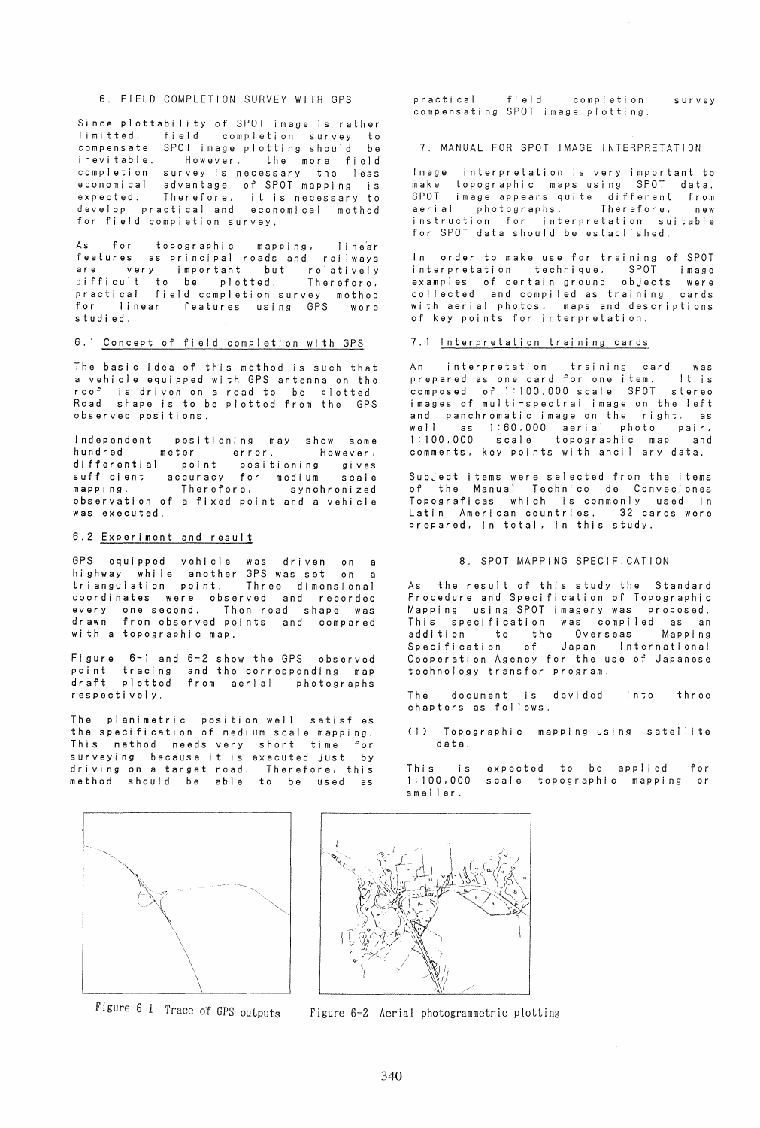### 6. FIELD COMPLETION SURVEY WITH GPS

Since plottability of SPOT image is rather<br>limitted, field completion survey to limitted, field completion survey to compensate SPOT image plotting should be However, the more field completion survey is necessary the less economical advantage of SPOT mapping is<br>expected. Therefore, it is necessary to develop practi cal and economi cal method for field completion survey.

As for topographic mapping. line'ar features as principal roads and rai Iways are very important but relatively difficult to be plotted. Therefore, practical field completion survey method for linear features using GPS were studied.

## 6.1 Concept of field completion with GPS

The basic idea of this method is such that a vehicle equipped with GPS antenna on the roof is driven on a road to be plotted. shape is to be plotted from the GPS observed posi ti ons.

Independent positioning may show some hundred meter error. However, differential point positioning gives sufficient accuracy for medium scale mapping. Therefore, synchronized mapping. Therefore, synchronized<br>observation of a fixed point and a vehicle was executed.

#### 6.2 Experiment and result

GPS equipped vehicle was driven on a highway while another GPS was set on a triangulation point. Three dimensional coordinates were observed and recorded everyone second. Then road shape was drawn from observed poi nts and compared with a topographic map.

Fi gure 6-1 and 6-2 show the GPS observed poi n t draft tracing and the corresponding map plotted from aerial photographs respecti vel y.

The planimetric position well satisfies the specification of medium scale mapping. This method needs very short time for<br>surveying because it is executed just by driving on a target road. Therefore, this method should be able to be used as

practical field completion survey compensating SPOT image plotting.

7. MANUAL FOR SPOT IMAGE INTERPRETATION

Image interpretation is very important to make topographic maps using SPOT data.<br>SPOT image appears quite different from aerial photographs. Therefore, new instruction for interpretation suitable for SPOT data should be established.

In order to make use for training of SPOT interpretation technique, SPOT image examples of certain ground objects were collected and compiled as training cards with aerial photos, maps and descriptions of key points for interpretation.

#### 7.1 Interpretation training cards

An interpretation training card was prepared as one card for one item. It is composed of 1:100,000 scale SPOT stereo images of multi-spectral image on the left and panchromatic image on the right, as well as 1:60,000 aerial photo pair, 1:100,000 scale topographic map and comments, key points with ancillary data.

Subject items were sel ected from the items of the Manual Technico de Conveciones Topograficas which is commonly used in Latin American countries. 32 cards were prepared, in total, in this study.

# 8. SPOT MAPPING SPECIFICATION

As the result of this study the Standard Procedure and Specification of Topographic Mapping using SPOT imagery was proposed. This specification was compiled as an addition to the Overseas Mapping Specification of Japan International Cooperation Agency for the use of Japanese technology transfer program.

The document is devided into three chapters as follows.

(1) Topographic mapping using satellite data.

T his is 1:100,000 scale topographic mapping or smaller. expected to be applied for





Figure 6-1 Trace of GPS outputs Figure 6-2 Aerial photogrammetric plotting